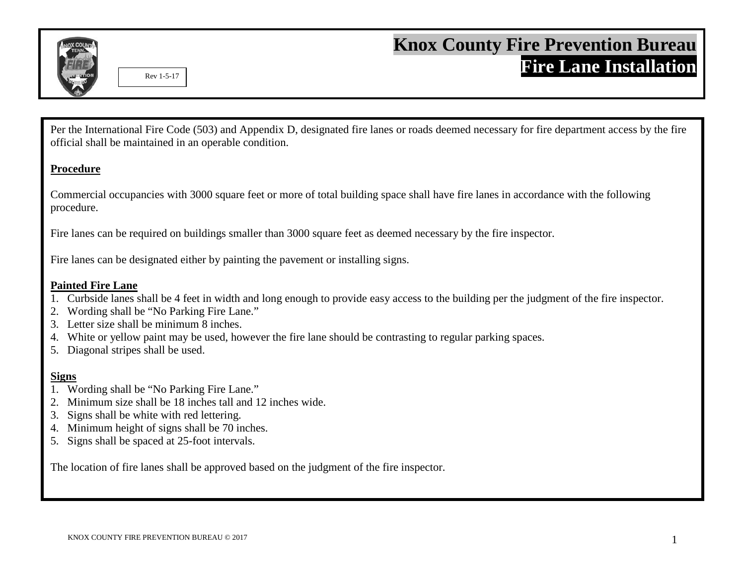

Per the International Fire Code (503) and Appendix D, designated fire lanes or roads deemed necessary for fire department access by the fire official shall be maintained in an operable condition.

## **Procedure**

Commercial occupancies with 3000 square feet or more of total building space shall have fire lanes in accordance with the following procedure.

Fire lanes can be required on buildings smaller than 3000 square feet as deemed necessary by the fire inspector.

Fire lanes can be designated either by painting the pavement or installing signs.

## **Painted Fire Lane**

- 1. Curbside lanes shall be 4 feet in width and long enough to provide easy access to the building per the judgment of the fire inspector.
- 2. Wording shall be "No Parking Fire Lane."
- 3. Letter size shall be minimum 8 inches.
- 4. White or yellow paint may be used, however the fire lane should be contrasting to regular parking spaces.
- 5. Diagonal stripes shall be used.

## **Signs**

- 1. Wording shall be "No Parking Fire Lane."
- 2. Minimum size shall be 18 inches tall and 12 inches wide.
- 3. Signs shall be white with red lettering.
- 4. Minimum height of signs shall be 70 inches.
- 5. Signs shall be spaced at 25-foot intervals.

The location of fire lanes shall be approved based on the judgment of the fire inspector.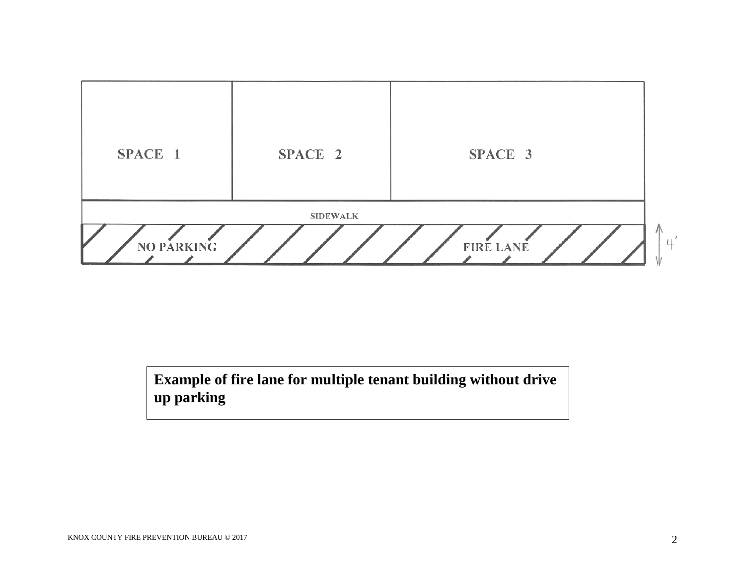

**Example of fire lane for multiple tenant building without drive up parking**